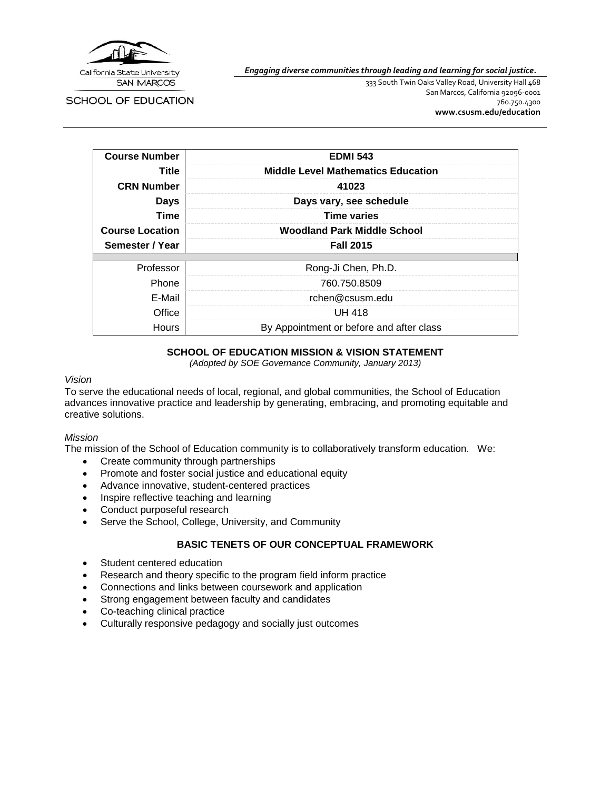

SCHOOL OF EDUCATION

*Engaging diverse communities through leading and learning for social justice.*

333 South Twin Oaks Valley Road, University Hall 468 San Marcos, California 92096-0001 760.750.4300 **[www.csusm.edu/education](http://www.csusm.edu/education)**

| <b>Course Number</b>   | <b>EDMI 543</b>                           |
|------------------------|-------------------------------------------|
| Title                  | <b>Middle Level Mathematics Education</b> |
| <b>CRN Number</b>      | 41023                                     |
| Days                   | Days vary, see schedule                   |
| <b>Time</b>            | <b>Time varies</b>                        |
| <b>Course Location</b> | <b>Woodland Park Middle School</b>        |
|                        |                                           |
| Semester / Year        | <b>Fall 2015</b>                          |
|                        |                                           |
| Professor              | Rong-Ji Chen, Ph.D.                       |
| Phone                  | 760.750.8509                              |
| E-Mail                 | rchen@csusm.edu                           |
| Office                 | UH 418                                    |

# **SCHOOL OF EDUCATION MISSION & VISION STATEMENT**

*(Adopted by SOE Governance Community, January 2013)*

### *Vision*

To serve the educational needs of local, regional, and global communities, the School of Education advances innovative practice and leadership by generating, embracing, and promoting equitable and creative solutions.

### *Mission*

The mission of the School of Education community is to collaboratively transform education. We:

- Create community through partnerships
- Promote and foster social justice and educational equity
- Advance innovative, student-centered practices
- Inspire reflective teaching and learning
- Conduct purposeful research
- Serve the School, College, University, and Community

### **BASIC TENETS OF OUR CONCEPTUAL FRAMEWORK**

- Student centered education
- Research and theory specific to the program field inform practice
- Connections and links between coursework and application
- Strong engagement between faculty and candidates
- Co-teaching clinical practice
- Culturally responsive pedagogy and socially just outcomes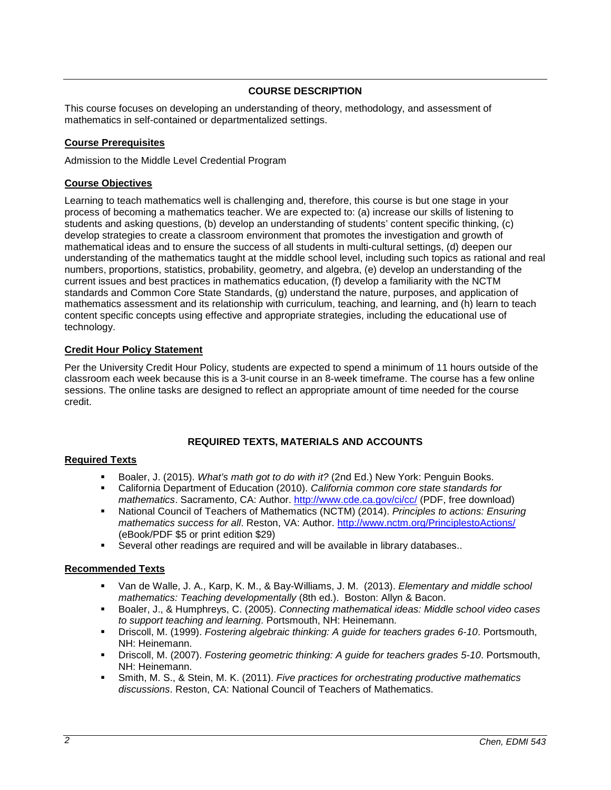# **COURSE DESCRIPTION**

This course focuses on developing an understanding of theory, methodology, and assessment of mathematics in self-contained or departmentalized settings.

### **Course Prerequisites**

Admission to the Middle Level Credential Program

### **Course Objectives**

Learning to teach mathematics well is challenging and, therefore, this course is but one stage in your process of becoming a mathematics teacher. We are expected to: (a) increase our skills of listening to students and asking questions, (b) develop an understanding of students' content specific thinking, (c) develop strategies to create a classroom environment that promotes the investigation and growth of mathematical ideas and to ensure the success of all students in multi-cultural settings, (d) deepen our understanding of the mathematics taught at the middle school level, including such topics as rational and real numbers, proportions, statistics, probability, geometry, and algebra, (e) develop an understanding of the current issues and best practices in mathematics education, (f) develop a familiarity with the NCTM standards and Common Core State Standards, (g) understand the nature, purposes, and application of mathematics assessment and its relationship with curriculum, teaching, and learning, and (h) learn to teach content specific concepts using effective and appropriate strategies, including the educational use of technology.

### **Credit Hour Policy Statement**

Per the University Credit Hour Policy, students are expected to spend a minimum of 11 hours outside of the classroom each week because this is a 3-unit course in an 8-week timeframe. The course has a few online sessions. The online tasks are designed to reflect an appropriate amount of time needed for the course credit.

# **REQUIRED TEXTS, MATERIALS AND ACCOUNTS**

### **Required Texts**

- Boaler, J. (2015). *What's math got to do with it?* (2nd Ed.) New York: Penguin Books.
- California Department of Education (2010). *California common core state standards for mathematics*. Sacramento, CA: Author.<http://www.cde.ca.gov/ci/cc/> (PDF, free download)
- National Council of Teachers of Mathematics (NCTM) (2014). *Principles to actions: Ensuring mathematics success for all*. Reston, VA: Author.<http://www.nctm.org/PrinciplestoActions/> (eBook/PDF \$5 or print edition \$29)
- Several other readings are required and will be available in library databases..

### **Recommended Texts**

- Van de Walle, J. A., Karp, K. M., & Bay-Williams, J. M. (2013). *Elementary and middle school mathematics: Teaching developmentally* (8th ed.). Boston: Allyn & Bacon.
- Boaler, J., & Humphreys, C. (2005). *Connecting mathematical ideas: Middle school video cases to support teaching and learning*. Portsmouth, NH: Heinemann.
- Driscoll, M. (1999). *Fostering algebraic thinking: A guide for teachers grades 6-10*. Portsmouth, NH: Heinemann.
- Driscoll, M. (2007). *Fostering geometric thinking: A guide for teachers grades 5-10*. Portsmouth, NH: Heinemann.
- Smith, M. S., & Stein, M. K. (2011). *Five practices for orchestrating productive mathematics discussions*. Reston, CA: National Council of Teachers of Mathematics.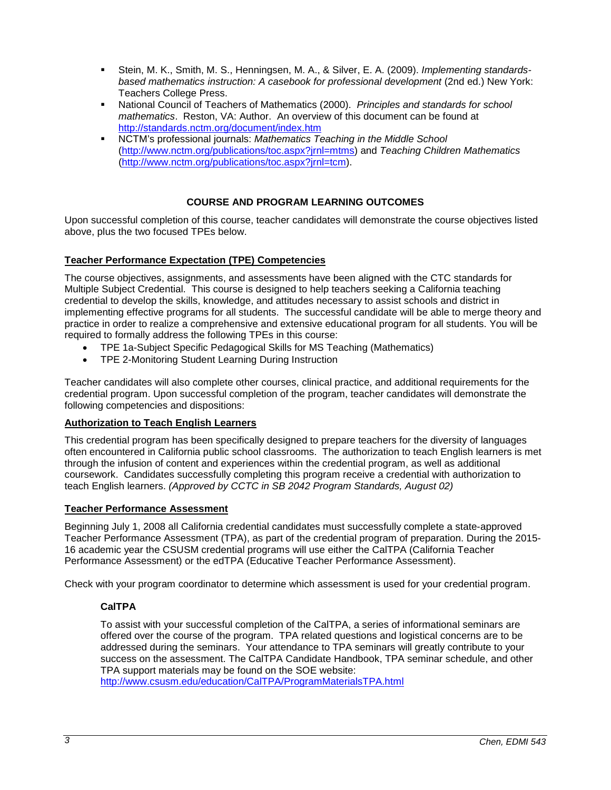- Stein, M. K., Smith, M. S., Henningsen, M. A., & Silver, E. A. (2009). *Implementing standardsbased mathematics instruction: A casebook for professional development* (2nd ed.) New York: Teachers College Press.
- National Council of Teachers of Mathematics (2000). *Principles and standards for school mathematics*. Reston, VA: Author. An overview of this document can be found at <http://standards.nctm.org/document/index.htm>
- NCTM's professional journals: *Mathematics Teaching in the Middle School* [\(http://www.nctm.org/publications/toc.aspx?jrnl=mtms\)](http://www.nctm.org/publications/toc.aspx?jrnl=mtms) and *Teaching Children Mathematics* [\(http://www.nctm.org/publications/toc.aspx?jrnl=tcm\)](http://www.nctm.org/publications/toc.aspx?jrnl=tcm).

# **COURSE AND PROGRAM LEARNING OUTCOMES**

Upon successful completion of this course, teacher candidates will demonstrate the course objectives listed above, plus the two focused TPEs below.

# **Teacher Performance Expectation (TPE) Competencies**

The course objectives, assignments, and assessments have been aligned with the CTC standards for Multiple Subject Credential. This course is designed to help teachers seeking a California teaching credential to develop the skills, knowledge, and attitudes necessary to assist schools and district in implementing effective programs for all students. The successful candidate will be able to merge theory and practice in order to realize a comprehensive and extensive educational program for all students. You will be required to formally address the following TPEs in this course:

- TPE 1a-Subject Specific Pedagogical Skills for MS Teaching (Mathematics)
- TPE 2-Monitoring Student Learning During Instruction

Teacher candidates will also complete other courses, clinical practice, and additional requirements for the credential program. Upon successful completion of the program, teacher candidates will demonstrate the following competencies and dispositions:

# **Authorization to Teach English Learners**

This credential program has been specifically designed to prepare teachers for the diversity of languages often encountered in California public school classrooms. The authorization to teach English learners is met through the infusion of content and experiences within the credential program, as well as additional coursework. Candidates successfully completing this program receive a credential with authorization to teach English learners. *(Approved by CCTC in SB 2042 Program Standards, August 02)*

### **Teacher Performance Assessment**

Beginning July 1, 2008 all California credential candidates must successfully complete a state-approved Teacher Performance Assessment (TPA), as part of the credential program of preparation. During the 2015- 16 academic year the CSUSM credential programs will use either the CalTPA (California Teacher Performance Assessment) or the edTPA (Educative Teacher Performance Assessment).

Check with your program coordinator to determine which assessment is used for your credential program.

# **CalTPA**

To assist with your successful completion of the CalTPA, a series of informational seminars are offered over the course of the program. TPA related questions and logistical concerns are to be addressed during the seminars. Your attendance to TPA seminars will greatly contribute to your success on the assessment. The CalTPA Candidate Handbook, TPA seminar schedule, and other TPA support materials may be found on the SOE website:

<http://www.csusm.edu/education/CalTPA/ProgramMaterialsTPA.html>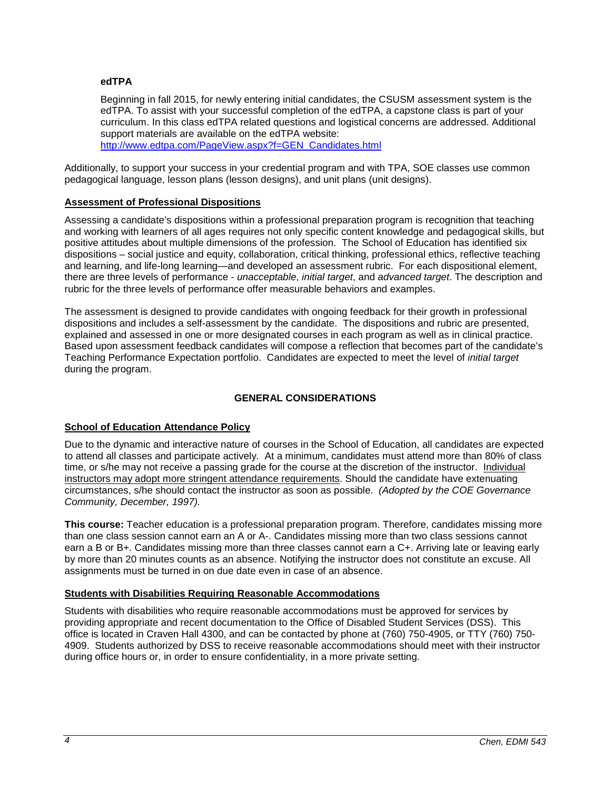# **edTPA**

Beginning in fall 2015, for newly entering initial candidates, the CSUSM assessment system is the edTPA. To assist with your successful completion of the edTPA, a capstone class is part of your curriculum. In this class edTPA related questions and logistical concerns are addressed. Additional support materials are available on the edTPA website:

[http://www.edtpa.com/PageView.aspx?f=GEN\\_Candidates.html](http://www.edtpa.com/PageView.aspx?f=GEN_Candidates.html)

Additionally, to support your success in your credential program and with TPA, SOE classes use common pedagogical language, lesson plans (lesson designs), and unit plans (unit designs).

# **Assessment of Professional Dispositions**

Assessing a candidate's dispositions within a professional preparation program is recognition that teaching and working with learners of all ages requires not only specific content knowledge and pedagogical skills, but positive attitudes about multiple dimensions of the profession. The School of Education has identified six dispositions – social justice and equity, collaboration, critical thinking, professional ethics, reflective teaching and learning, and life-long learning—and developed an assessment rubric. For each dispositional element, there are three levels of performance - *unacceptable*, *initial target*, and *advanced target*. The description and rubric for the three levels of performance offer measurable behaviors and examples.

The assessment is designed to provide candidates with ongoing feedback for their growth in professional dispositions and includes a self-assessment by the candidate. The dispositions and rubric are presented, explained and assessed in one or more designated courses in each program as well as in clinical practice. Based upon assessment feedback candidates will compose a reflection that becomes part of the candidate's Teaching Performance Expectation portfolio. Candidates are expected to meet the level of *initial target* during the program.

# **GENERAL CONSIDERATIONS**

# **School of Education Attendance Policy**

Due to the dynamic and interactive nature of courses in the School of Education, all candidates are expected to attend all classes and participate actively. At a minimum, candidates must attend more than 80% of class time, or s/he may not receive a passing grade for the course at the discretion of the instructor. Individual instructors may adopt more stringent attendance requirements. Should the candidate have extenuating circumstances, s/he should contact the instructor as soon as possible. *(Adopted by the COE Governance Community, December, 1997).*

**This course:** Teacher education is a professional preparation program. Therefore, candidates missing more than one class session cannot earn an A or A-. Candidates missing more than two class sessions cannot earn a B or B+. Candidates missing more than three classes cannot earn a C+. Arriving late or leaving early by more than 20 minutes counts as an absence. Notifying the instructor does not constitute an excuse. All assignments must be turned in on due date even in case of an absence.

### **Students with Disabilities Requiring Reasonable Accommodations**

Students with disabilities who require reasonable accommodations must be approved for services by providing appropriate and recent documentation to the Office of Disabled Student Services (DSS). This office is located in Craven Hall 4300, and can be contacted by phone at (760) 750-4905, or TTY (760) 750- 4909. Students authorized by DSS to receive reasonable accommodations should meet with their instructor during office hours or, in order to ensure confidentiality, in a more private setting.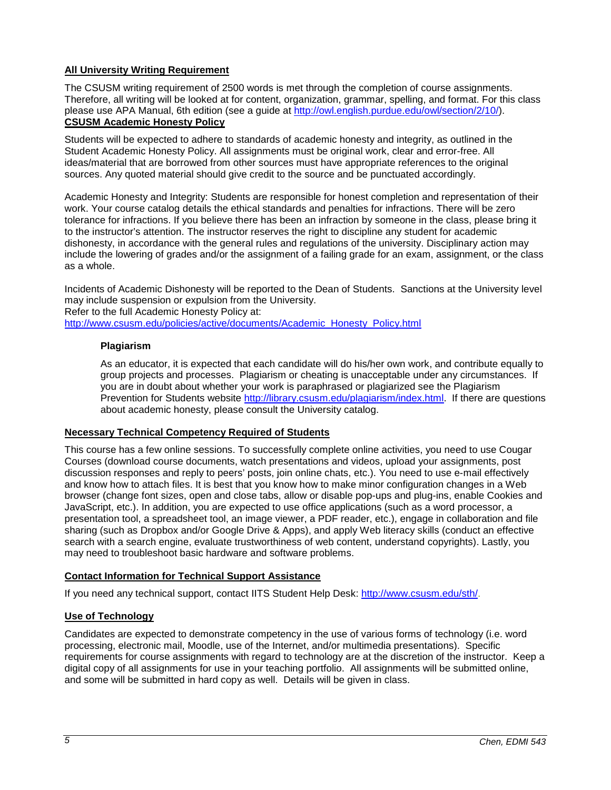# **All University Writing Requirement**

The CSUSM writing requirement of 2500 words is met through the completion of course assignments. Therefore, all writing will be looked at for content, organization, grammar, spelling, and format. For this class please use APA Manual, 6th edition (see a guide at [http://owl.english.purdue.edu/owl/section/2/10/\)](http://owl.english.purdue.edu/owl/section/2/10/). **CSUSM Academic Honesty Policy**

Students will be expected to adhere to standards of academic honesty and integrity, as outlined in the Student Academic Honesty Policy. All assignments must be original work, clear and error-free. All ideas/material that are borrowed from other sources must have appropriate references to the original sources. Any quoted material should give credit to the source and be punctuated accordingly.

Academic Honesty and Integrity: Students are responsible for honest completion and representation of their work. Your course catalog details the ethical standards and penalties for infractions. There will be zero tolerance for infractions. If you believe there has been an infraction by someone in the class, please bring it to the instructor's attention. The instructor reserves the right to discipline any student for academic dishonesty, in accordance with the general rules and regulations of the university. Disciplinary action may include the lowering of grades and/or the assignment of a failing grade for an exam, assignment, or the class as a whole.

Incidents of Academic Dishonesty will be reported to the Dean of Students. Sanctions at the University level may include suspension or expulsion from the University.

Refer to the full Academic Honesty Policy at:

[http://www.csusm.edu/policies/active/documents/Academic\\_Honesty\\_Policy.html](http://www.csusm.edu/policies/active/documents/Academic_Honesty_Policy.html)

### **Plagiarism**

As an educator, it is expected that each candidate will do his/her own work, and contribute equally to group projects and processes. Plagiarism or cheating is unacceptable under any circumstances. If you are in doubt about whether your work is paraphrased or plagiarized see the Plagiarism Prevention for Students website [http://library.csusm.edu/plagiarism/index.html.](http://library.csusm.edu/plagiarism/index.html) If there are questions about academic honesty, please consult the University catalog.

# **Necessary Technical Competency Required of Students**

This course has a few online sessions. To successfully complete online activities, you need to use Cougar Courses (download course documents, watch presentations and videos, upload your assignments, post discussion responses and reply to peers' posts, join online chats, etc.). You need to use e-mail effectively and know how to attach files. It is best that you know how to make minor configuration changes in a Web browser (change font sizes, open and close tabs, allow or disable pop-ups and plug-ins, enable Cookies and JavaScript, etc.). In addition, you are expected to use office applications (such as a word processor, a presentation tool, a spreadsheet tool, an image viewer, a PDF reader, etc.), engage in collaboration and file sharing (such as Dropbox and/or Google Drive & Apps), and apply Web literacy skills (conduct an effective search with a search engine, evaluate trustworthiness of web content, understand copyrights). Lastly, you may need to troubleshoot basic hardware and software problems.

# **Contact Information for Technical Support Assistance**

If you need any technical support, contact IITS Student Help Desk: [http://www.csusm.edu/sth/.](http://www.csusm.edu/sth/)

# **Use of Technology**

Candidates are expected to demonstrate competency in the use of various forms of technology (i.e. word processing, electronic mail, Moodle, use of the Internet, and/or multimedia presentations). Specific requirements for course assignments with regard to technology are at the discretion of the instructor. Keep a digital copy of all assignments for use in your teaching portfolio. All assignments will be submitted online, and some will be submitted in hard copy as well. Details will be given in class.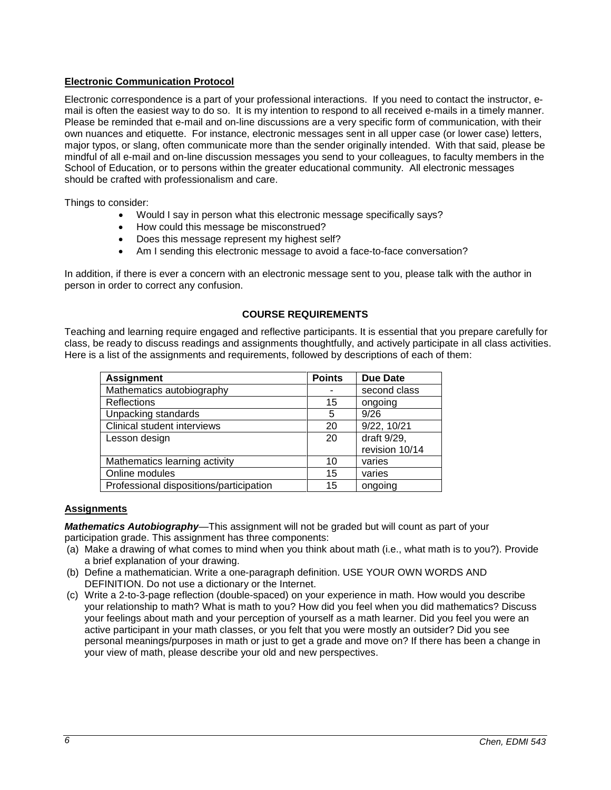# **Electronic Communication Protocol**

Electronic correspondence is a part of your professional interactions. If you need to contact the instructor, email is often the easiest way to do so. It is my intention to respond to all received e-mails in a timely manner. Please be reminded that e-mail and on-line discussions are a very specific form of communication, with their own nuances and etiquette. For instance, electronic messages sent in all upper case (or lower case) letters, major typos, or slang, often communicate more than the sender originally intended. With that said, please be mindful of all e-mail and on-line discussion messages you send to your colleagues, to faculty members in the School of Education, or to persons within the greater educational community. All electronic messages should be crafted with professionalism and care.

Things to consider:

- Would I say in person what this electronic message specifically says?
- How could this message be misconstrued?
- Does this message represent my highest self?
- Am I sending this electronic message to avoid a face-to-face conversation?

In addition, if there is ever a concern with an electronic message sent to you, please talk with the author in person in order to correct any confusion.

# **COURSE REQUIREMENTS**

Teaching and learning require engaged and reflective participants. It is essential that you prepare carefully for class, be ready to discuss readings and assignments thoughtfully, and actively participate in all class activities. Here is a list of the assignments and requirements, followed by descriptions of each of them:

| <b>Assignment</b>                       | <b>Points</b> | <b>Due Date</b> |
|-----------------------------------------|---------------|-----------------|
| Mathematics autobiography               |               | second class    |
| Reflections                             | 15            | ongoing         |
| Unpacking standards                     | 5             | 9/26            |
| Clinical student interviews             | 20            | 9/22, 10/21     |
| Lesson design                           | 20            | draft 9/29,     |
|                                         |               | revision 10/14  |
| Mathematics learning activity           | 10            | varies          |
| Online modules                          | 15            | varies          |
| Professional dispositions/participation | 15            | ongoing         |

### **Assignments**

*Mathematics Autobiography*—This assignment will not be graded but will count as part of your participation grade. This assignment has three components:

- (a) Make a drawing of what comes to mind when you think about math (i.e., what math is to you?). Provide a brief explanation of your drawing.
- (b) Define a mathematician. Write a one-paragraph definition. USE YOUR OWN WORDS AND DEFINITION. Do not use a dictionary or the Internet.
- (c) Write a 2-to-3-page reflection (double-spaced) on your experience in math. How would you describe your relationship to math? What is math to you? How did you feel when you did mathematics? Discuss your feelings about math and your perception of yourself as a math learner. Did you feel you were an active participant in your math classes, or you felt that you were mostly an outsider? Did you see personal meanings/purposes in math or just to get a grade and move on? If there has been a change in your view of math, please describe your old and new perspectives.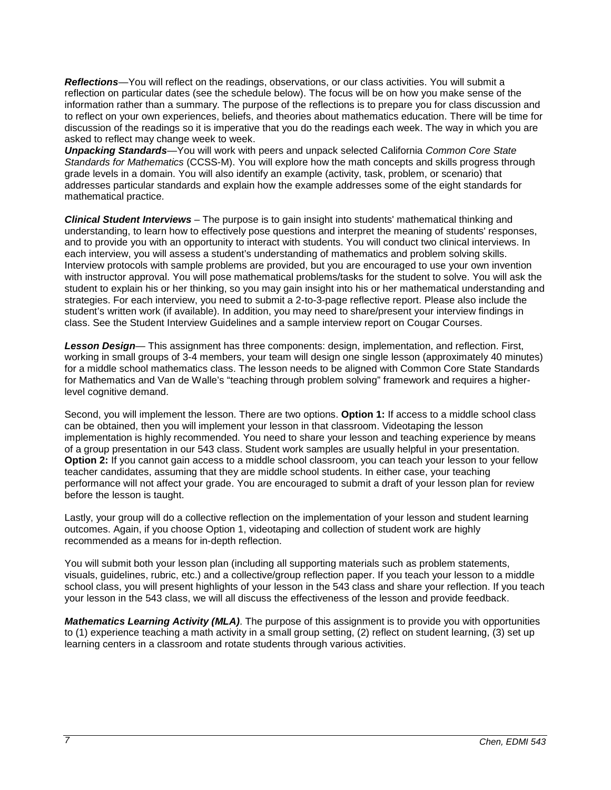*Reflections*—You will reflect on the readings, observations, or our class activities. You will submit a reflection on particular dates (see the schedule below). The focus will be on how you make sense of the information rather than a summary. The purpose of the reflections is to prepare you for class discussion and to reflect on your own experiences, beliefs, and theories about mathematics education. There will be time for discussion of the readings so it is imperative that you do the readings each week. The way in which you are asked to reflect may change week to week.

*Unpacking Standards*—You will work with peers and unpack selected California *Common Core State Standards for Mathematics* (CCSS-M). You will explore how the math concepts and skills progress through grade levels in a domain. You will also identify an example (activity, task, problem, or scenario) that addresses particular standards and explain how the example addresses some of the eight standards for mathematical practice.

*Clinical Student Interviews* – The purpose is to gain insight into students' mathematical thinking and understanding, to learn how to effectively pose questions and interpret the meaning of students' responses, and to provide you with an opportunity to interact with students. You will conduct two clinical interviews. In each interview, you will assess a student's understanding of mathematics and problem solving skills. Interview protocols with sample problems are provided, but you are encouraged to use your own invention with instructor approval. You will pose mathematical problems/tasks for the student to solve. You will ask the student to explain his or her thinking, so you may gain insight into his or her mathematical understanding and strategies. For each interview, you need to submit a 2-to-3-page reflective report. Please also include the student's written work (if available). In addition, you may need to share/present your interview findings in class. See the Student Interview Guidelines and a sample interview report on Cougar Courses.

*Lesson Design*— This assignment has three components: design, implementation, and reflection. First, working in small groups of 3-4 members, your team will design one single lesson (approximately 40 minutes) for a middle school mathematics class. The lesson needs to be aligned with Common Core State Standards for Mathematics and Van de Walle's "teaching through problem solving" framework and requires a higherlevel cognitive demand.

Second, you will implement the lesson. There are two options. **Option 1:** If access to a middle school class can be obtained, then you will implement your lesson in that classroom. Videotaping the lesson implementation is highly recommended. You need to share your lesson and teaching experience by means of a group presentation in our 543 class. Student work samples are usually helpful in your presentation. **Option 2:** If you cannot gain access to a middle school classroom, you can teach your lesson to your fellow teacher candidates, assuming that they are middle school students. In either case, your teaching performance will not affect your grade. You are encouraged to submit a draft of your lesson plan for review before the lesson is taught.

Lastly, your group will do a collective reflection on the implementation of your lesson and student learning outcomes. Again, if you choose Option 1, videotaping and collection of student work are highly recommended as a means for in-depth reflection.

You will submit both your lesson plan (including all supporting materials such as problem statements, visuals, guidelines, rubric, etc.) and a collective/group reflection paper. If you teach your lesson to a middle school class, you will present highlights of your lesson in the 543 class and share your reflection. If you teach your lesson in the 543 class, we will all discuss the effectiveness of the lesson and provide feedback.

*Mathematics Learning Activity (MLA)*. The purpose of this assignment is to provide you with opportunities to (1) experience teaching a math activity in a small group setting, (2) reflect on student learning, (3) set up learning centers in a classroom and rotate students through various activities.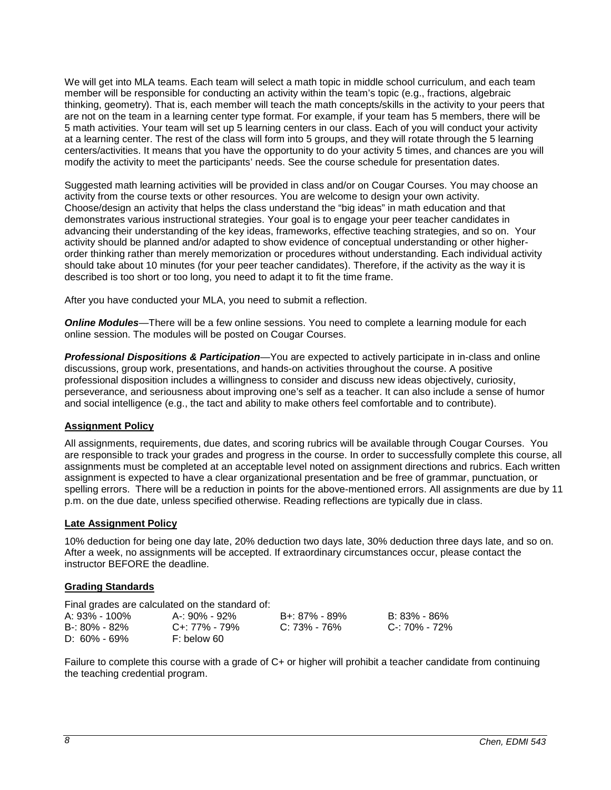We will get into MLA teams. Each team will select a math topic in middle school curriculum, and each team member will be responsible for conducting an activity within the team's topic (e.g., fractions, algebraic thinking, geometry). That is, each member will teach the math concepts/skills in the activity to your peers that are not on the team in a learning center type format. For example, if your team has 5 members, there will be 5 math activities. Your team will set up 5 learning centers in our class. Each of you will conduct your activity at a learning center. The rest of the class will form into 5 groups, and they will rotate through the 5 learning centers/activities. It means that you have the opportunity to do your activity 5 times, and chances are you will modify the activity to meet the participants' needs. See the course schedule for presentation dates.

Suggested math learning activities will be provided in class and/or on Cougar Courses. You may choose an activity from the course texts or other resources. You are welcome to design your own activity. Choose/design an activity that helps the class understand the "big ideas" in math education and that demonstrates various instructional strategies. Your goal is to engage your peer teacher candidates in advancing their understanding of the key ideas, frameworks, effective teaching strategies, and so on. Your activity should be planned and/or adapted to show evidence of conceptual understanding or other higherorder thinking rather than merely memorization or procedures without understanding. Each individual activity should take about 10 minutes (for your peer teacher candidates). Therefore, if the activity as the way it is described is too short or too long, you need to adapt it to fit the time frame.

After you have conducted your MLA, you need to submit a reflection.

**Online Modules**—There will be a few online sessions. You need to complete a learning module for each online session. The modules will be posted on Cougar Courses.

*Professional Dispositions & Participation*—You are expected to actively participate in in-class and online discussions, group work, presentations, and hands-on activities throughout the course. A positive professional disposition includes a willingness to consider and discuss new ideas objectively, curiosity, perseverance, and seriousness about improving one's self as a teacher. It can also include a sense of humor and social intelligence (e.g., the tact and ability to make others feel comfortable and to contribute).

# **Assignment Policy**

All assignments, requirements, due dates, and scoring rubrics will be available through Cougar Courses. You are responsible to track your grades and progress in the course. In order to successfully complete this course, all assignments must be completed at an acceptable level noted on assignment directions and rubrics. Each written assignment is expected to have a clear organizational presentation and be free of grammar, punctuation, or spelling errors. There will be a reduction in points for the above-mentioned errors. All assignments are due by 11 p.m. on the due date, unless specified otherwise. Reading reflections are typically due in class.

# **Late Assignment Policy**

10% deduction for being one day late, 20% deduction two days late, 30% deduction three days late, and so on. After a week, no assignments will be accepted. If extraordinary circumstances occur, please contact the instructor BEFORE the deadline.

# **Grading Standards**

| Final grades are calculated on the standard of: |                     |               |               |  |  |
|-------------------------------------------------|---------------------|---------------|---------------|--|--|
| A: 93% - 100%                                   | A-: 90% - 92%       | B+: 87% - 89% | B: 83% - 86%  |  |  |
| B-: 80% - 82%                                   | $C_{+}$ : 77% - 79% | C: 73% - 76%  | C-: 70% - 72% |  |  |
| D: 60% - 69%                                    | F: below 60         |               |               |  |  |

Failure to complete this course with a grade of C+ or higher will prohibit a teacher candidate from continuing the teaching credential program.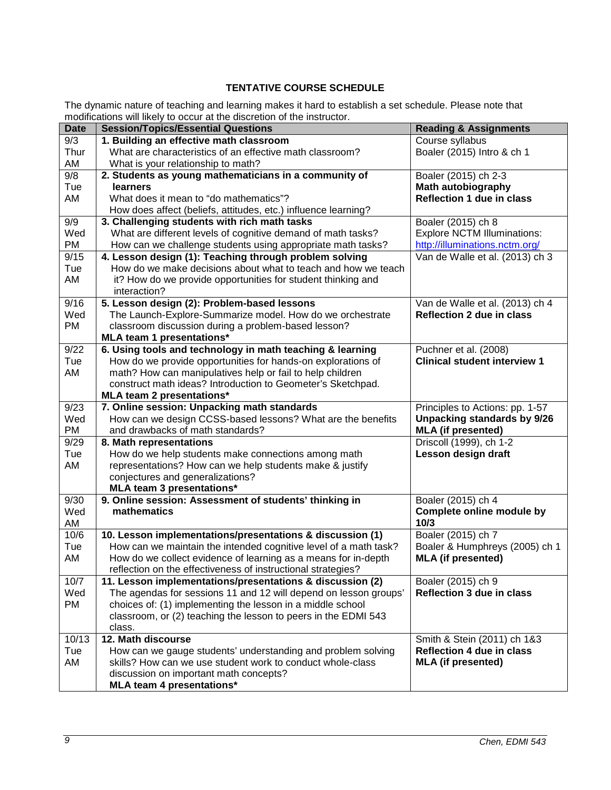# **TENTATIVE COURSE SCHEDULE**

The dynamic nature of teaching and learning makes it hard to establish a set schedule. Please note that modifications will likely to occur at the discretion of the instructor.

| <b>Date</b> | <b>Session/Topics/Essential Questions</b>                                                                                 | <b>Reading &amp; Assignments</b>                             |
|-------------|---------------------------------------------------------------------------------------------------------------------------|--------------------------------------------------------------|
| 9/3         | 1. Building an effective math classroom                                                                                   | Course syllabus                                              |
| Thur        | What are characteristics of an effective math classroom?                                                                  | Boaler (2015) Intro & ch 1                                   |
| AM          | What is your relationship to math?                                                                                        |                                                              |
| 9/8         | 2. Students as young mathematicians in a community of                                                                     | Boaler (2015) ch 2-3                                         |
| Tue         | learners                                                                                                                  | <b>Math autobiography</b>                                    |
| AM          | What does it mean to "do mathematics"?                                                                                    | <b>Reflection 1 due in class</b>                             |
|             | How does affect (beliefs, attitudes, etc.) influence learning?                                                            |                                                              |
| 9/9         | 3. Challenging students with rich math tasks                                                                              | Boaler (2015) ch 8                                           |
| Wed         | What are different levels of cognitive demand of math tasks?                                                              | <b>Explore NCTM Illuminations:</b>                           |
| PM          | How can we challenge students using appropriate math tasks?                                                               | http://illuminations.nctm.org/                               |
| 9/15        | 4. Lesson design (1): Teaching through problem solving                                                                    | Van de Walle et al. (2013) ch 3                              |
| Tue         | How do we make decisions about what to teach and how we teach                                                             |                                                              |
| AM          | it? How do we provide opportunities for student thinking and                                                              |                                                              |
|             | interaction?                                                                                                              |                                                              |
| 9/16        | 5. Lesson design (2): Problem-based lessons                                                                               | Van de Walle et al. (2013) ch 4                              |
| Wed         | The Launch-Explore-Summarize model. How do we orchestrate                                                                 | <b>Reflection 2 due in class</b>                             |
| PM          | classroom discussion during a problem-based lesson?                                                                       |                                                              |
|             | <b>MLA team 1 presentations*</b>                                                                                          |                                                              |
| 9/22        | 6. Using tools and technology in math teaching & learning<br>How do we provide opportunities for hands-on explorations of | Puchner et al. (2008)<br><b>Clinical student interview 1</b> |
| Tue<br>AM   | math? How can manipulatives help or fail to help children                                                                 |                                                              |
|             | construct math ideas? Introduction to Geometer's Sketchpad.                                                               |                                                              |
|             | <b>MLA team 2 presentations*</b>                                                                                          |                                                              |
| 9/23        | 7. Online session: Unpacking math standards                                                                               | Principles to Actions: pp. 1-57                              |
| Wed         | How can we design CCSS-based lessons? What are the benefits                                                               | Unpacking standards by 9/26                                  |
| PM          | and drawbacks of math standards?                                                                                          | <b>MLA (if presented)</b>                                    |
| 9/29        | 8. Math representations                                                                                                   | Driscoll (1999), ch 1-2                                      |
| Tue         | How do we help students make connections among math                                                                       | Lesson design draft                                          |
| AM          | representations? How can we help students make & justify                                                                  |                                                              |
|             | conjectures and generalizations?                                                                                          |                                                              |
|             | MLA team 3 presentations*                                                                                                 |                                                              |
| 9/30        | 9. Online session: Assessment of students' thinking in                                                                    | Boaler (2015) ch 4                                           |
| Wed         | mathematics                                                                                                               | Complete online module by                                    |
| AM          |                                                                                                                           | 10/3                                                         |
| 10/6        | 10. Lesson implementations/presentations & discussion (1)                                                                 | Boaler (2015) ch 7                                           |
| Tue         | How can we maintain the intended cognitive level of a math task?                                                          | Boaler & Humphreys (2005) ch 1                               |
| AM          | How do we collect evidence of learning as a means for in-depth                                                            | <b>MLA (if presented)</b>                                    |
|             | reflection on the effectiveness of instructional strategies?                                                              |                                                              |
| 10/7        | 11. Lesson implementations/presentations & discussion (2)                                                                 | Boaler (2015) ch 9                                           |
| Wed         | The agendas for sessions 11 and 12 will depend on lesson groups'                                                          | <b>Reflection 3 due in class</b>                             |
| PM          | choices of: (1) implementing the lesson in a middle school                                                                |                                                              |
|             | classroom, or (2) teaching the lesson to peers in the EDMI 543                                                            |                                                              |
|             | class.                                                                                                                    |                                                              |
| 10/13       | 12. Math discourse                                                                                                        | Smith & Stein (2011) ch 1&3                                  |
| Tue         | How can we gauge students' understanding and problem solving                                                              | <b>Reflection 4 due in class</b>                             |
| AM          | skills? How can we use student work to conduct whole-class                                                                | <b>MLA (if presented)</b>                                    |
|             | discussion on important math concepts?                                                                                    |                                                              |
|             | MLA team 4 presentations*                                                                                                 |                                                              |